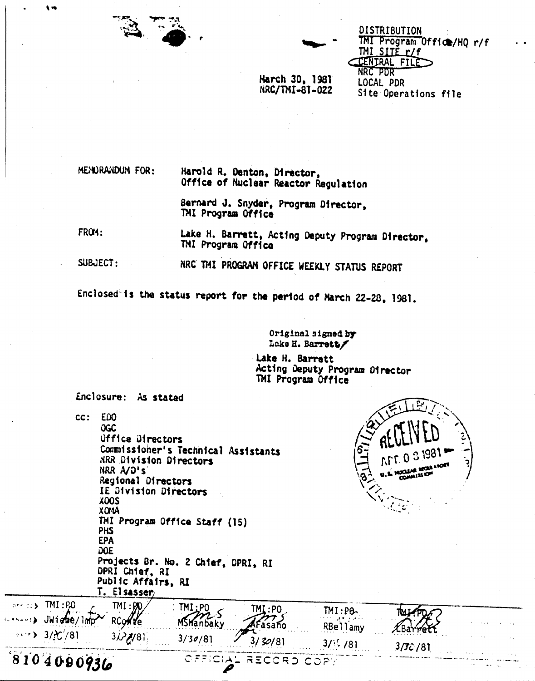

DISTRIBUTION TMI Program Office/HQ r/f TMI SITE r/f **CENTRAL FILE** NRC PDR LOCAL PDR Site Operations file

March 30, 1981 NRC/TMI-81-022

MENDRANDUM FOR:

Harold R. Denton, Director, Office of Nuclear Reactor Regulation

Bernard J. Snyder, Program Director. TMI Program Office

FROM:

Lake H. Barrett, Acting Deputy Program Director. TMI Program Office

SUBJECT: NRC THI PROGRAM OFFICE WEEKLY STATUS REPORT

Enclosed is the status report for the period of March 22-28, 1981.

Original signed by Lake H. Barrett/

Lake H. Barrett Acting Deputy Program Director TMI Program Office

Enclosure: As stated

 $cc:$ E<sub>00</sub> **OGC Uffice Directors** Commissioner's Technical Assistants **NRR Division Directors** NRR A/D's Regional Directors IE Division Directors **XDOS XONA** TMI Program Office Staff (15) **PHS EPA DOE** Projects Br. No. 2 Chief, DPRI, RI DPRI Chief, RI Public Affairs, RI T. Elsasser prefect TMI:P.O.  $TM:BD$  $TM:PO$ TMI:PO  $TM:PB$ ĭМ MSHanbaky  $\cdots$  JWiebe/1mp **RCONTE** asaño RBellamy  $\pmb{\mathcal{X}}$ Ba  $\cdots$  3/ $\mathcal{C}'/81$  $3/\sqrt{31}$  $3/30/81$  $3/30/81$  $3/$ : /81 3/**7**c / 81  $8104090936$ OFFIC RECORD COPY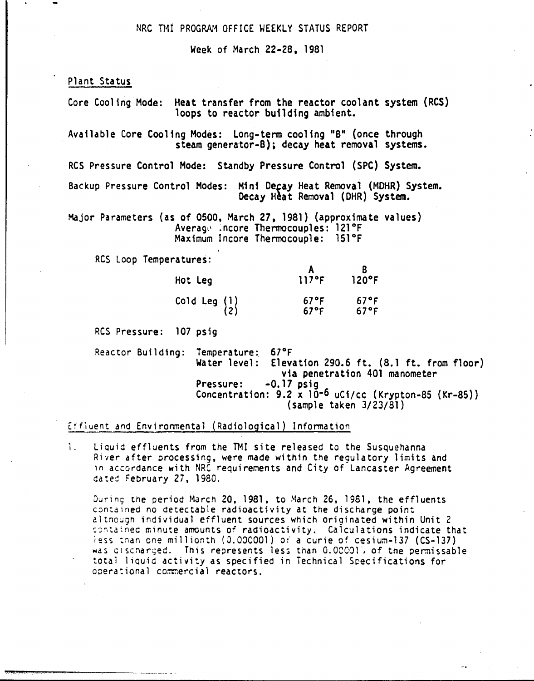## NRC THI PROGRAM OFFICE WEEKLY STATUS REPORT

Week of MarCh 22-28, 1981

Plant Status

.<br>"You are the complete of the complete of the substitution of the complete of the complete of the complete of t

Heat transfer from the reactor coolant system (RCS) Core Cooling Mode: loops to reactor building ambient.

Available Core Cooling Modes: Long-term cooling "B" (once through steam generator-B); decay heat removal systems.

RCS Pressure Control Mode: Standby Pressure Control (SPC) System.

Backup Pressure Control Modes: Mini Decay Heat Removal (MDHR) System. Decay Heat Removal (DHR) System.

Major Parameters (as of 0500, March 27, 1981) (approximate values) Average .ncore Thermocouples: 121°F Maximum Incore Thermocouple: 151°F

RCS Loop Temperatures:

| Hot Leg               | 117°F                            | 120°F                  |
|-----------------------|----------------------------------|------------------------|
| Cold Leg $(1)$<br>(2) | $67^{\circ}$ F<br>$67^{\circ}$ F | $67^{\circ}$ F<br>67°F |

RCS Pressure: 107 psig

Reactor Building: Temperature: 67°F<br>Water level: Eleva Elevation 290.6 ft.  $(8.1 \text{ ft. from floor})$ via penetration 401 manometer Pressure: -0.17 psig Concentration: 9.2 x 10-6 uCi/cc (Krypton-85 (Kr-85)) (sample taken 3/23/81)

Effluent and Environmental (Radiological) Infonnation

1. Liquid effluents from the TMI site released to the Susquehanna River after processing, were made within the regulatory limits and in accordance with NRC requirements and City of Lancaster Agreement dated February 27, 1980.

During the period March 20, 1981, to March 26, 1981, the effluents contained no detectable radioactivity at the discharge point altnough individual effluent sources which originated within Unit 2 contained minute amounts of radioactivity. Calculations indicate that iess than one millionth (0.000001) or a curie of cesium-137 (CS-137) was discharged. This represents less than 0.00001) of the permissable total liquid activity as specified in Technical Specifications for operational commercial reactors.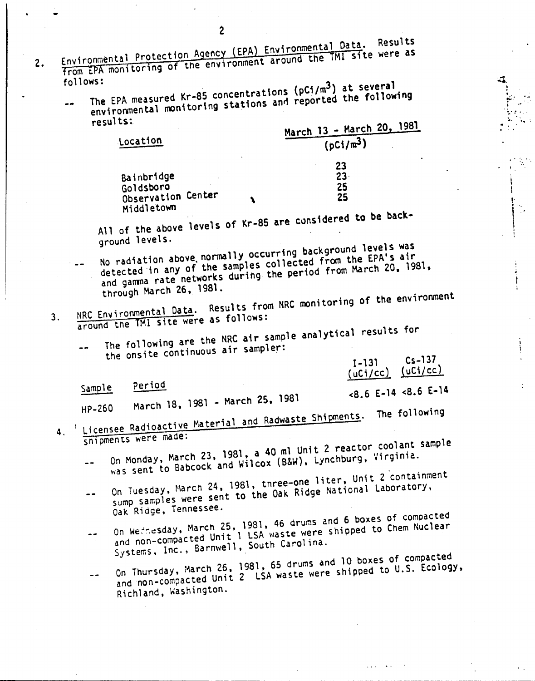- 2<br>Environmental Protection Agency (EPA) Environmental Data. Results from EPA monitoring of the environment around the TMI site were as 2. follows:
	- ns.<br>The EPA measured Kr-85 concentrations (pCi/m<sup>3</sup>) at several environmental monitoring stations and reported the following results:

| March 13 - March 20, 1981 |
|---------------------------|
| $(pCi/m^3)$               |
|                           |

23. 25

2S

i ..

 $\cdot$  .  $\cdot$  . #J. '. ~

 $\frac{1}{k!}$ . '..  $\sim$  .6'  $\sim$  $\mathcal{L}_{\mathcal{F}}$ 

 $\ddot{ }$ .

I \ ่<br>!<br>! ...

 $\mathbf{I}$ 

, , .•

Bainbridge Goldsboro Observation Center Middletown

Location

 $\ldots$ , of the above levels of Kr-85 are considered to be been ground levels.

\

- No radiation above. normally occurring baCKground levels was detected in any of the samples collected from the EPA's air and gamma rate networks during the period from March 20, 1981. through March 26. 1981.
- 3. NRC Environmental Data. Results from NRC monitoring of the environment around the TMI site were as follows:

The following are the NRC air sample analytical results for  $\bullet$ 

the onsite continuous air sampler:

period Sample

<8.6 E-14 <8.6 E-14 March 18. 1981 - March 25, 1981

1-131 Cs-137 (uCi/cc) (uCi/cc)

..' ... .

- HP-260 1. r Licensee Radioactive Material and Radwaste Shipments. The following
	- snipments were made: On Monday, March 23, 1981, a 40 ml Unit 2 reactor coolant sample was sent to Babcock and Wilcox (B&W), Lynchburg, Virginia.  $\overline{a}$
	- On Tuesday, March 24, 1981, three-one liter, Unit 2 containment sump samples were sent to the Oak Ridge National Laboratory,  $\sim$   $\sim$ Oak Ridge, Tennessee.
	- On Wednesday, March 25, 1981, 46 drums and 6 boxes of compacted and non-compacted Unit 1 LSA waste were shipped to Chem Nuclear  $\frac{1}{2}$ Systems, Inc., Barnwell, South Carolina.
	- On Thursday, March 26, 1981,65 drums and 10 boxes of compacted on indistance and non-compacted Unit 2 LSA waste were shipped to U.S. Ecology,  $- -$ Richland, Washington.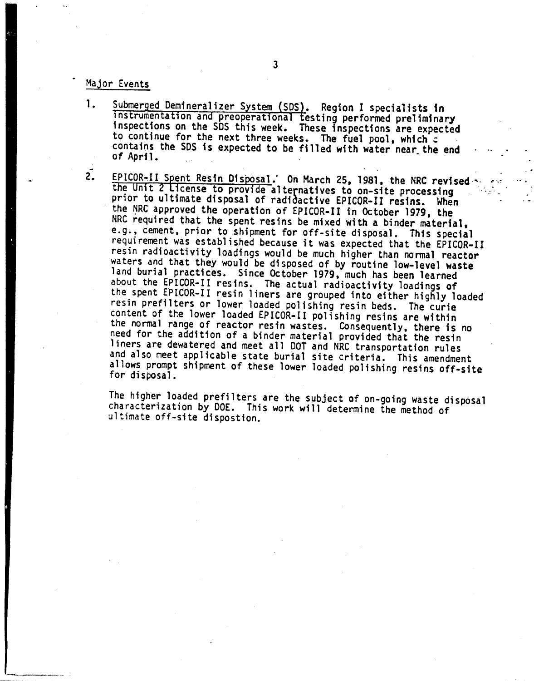## Major Events

- Submerged Demineralizer System (SDS). Region I specialists in 1. Instrumentation and preoperational testing performed preliminary<br>inspections on the SDS this week. These inspections are expected to continue for the next three weeks. The fuel pool, which a contains the SDS is expected to be filled with water near the end of April.
- $\overline{2}$ . EPICOR-II Spent Resin Disposal. On March 25, 1981, the NRC revised the Unit 2 License to provide alternatives to on-site processing prior to ultimate disposal of radidactive EPICOR-II resins. When the NRC approved the operation of EPICOR-II in October 1979, the NRC required that the spent resins be mixed with a binder material, e.g., cement, prior to shipment for off-site disposal. This special requirement was established because it was expected that the EPICOR-II resin radioactivity loadings would be much higher than normal reactor waters and that they would be disposed of by routine low-level waste land burial practices. Since October 1979, much has been learned about the EPICOR-II resins. The actual radioactivity loadings of the spent EPICOR-II resin liners are grouped into either highly loaded resin prefilters or lower loaded polishing resin beds. The curie content of the lower loaded EPICOR-II polishing resins are within the normal range of reactor resin wastes. Consequently, there is no<br>need for the addition of a binder material provided that the resin liners are dewatered and meet all DOT and NRC transportation rules and also meet applicable state burial site criteria. This amendment allows prompt shipment of these lower loaded polishing resins off-site for disposal.

The higher loaded prefilters are the subject of on-going waste disposal characterization by DOE. This work will determine the method of ultimate off-site dispostion.